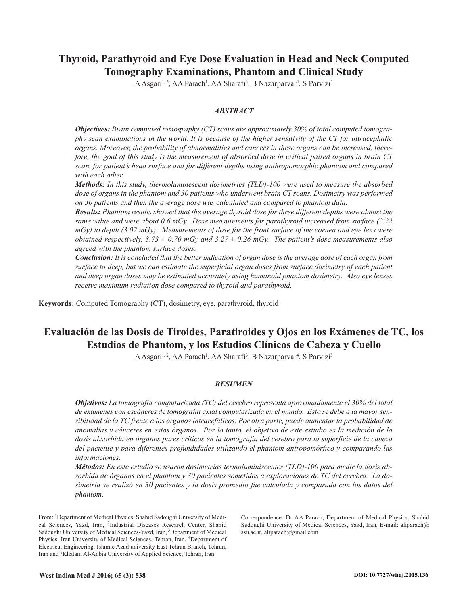## **Thyroid, Parathyroid and Eye Dose Evaluation in Head and Neck Computed Tomography Examinations, Phantom and Clinical Study**

A Asgari<sup>1, 2</sup>, AA Parach<sup>1</sup>, AA Sharafi<sup>3</sup>, B Nazarparvar<sup>4</sup>, S Parvizi<sup>5</sup>

#### *ABSTRACT*

*Objectives: Brain computed tomography (CT) scans are approximately 30% of total computed tomogra*phy scan examinations in the world. It is because of the higher sensitivity of the CT for intracephalic *organs. Moreover, the probability of abnormalities and cancers in these organs can be increased, there*fore, the goal of this study is the measurement of absorbed dose in critical paired organs in brain CT *scan, for patient's head surface and for different depths using anthropomorphic phantom and compared with each other.*

*Methods: In this study, thermoluminescent dosimetries (TLD)-100 were used to measure the absorbed dose of organs in the phantom and 30 patients who underwent brain CT scans. Dosimetry was performed on 30 patients and then the average dose was calculated and compared to phantom data.*

*Results: Phantom results showed that the average thyroid dose for three different depths were almost the same value and were about 0.6 mGy. Dose measurements for parathyroid increased from surface (2.22*  $mGy$ ) to depth (3.02 mGy). Measurements of dose for the front surface of the cornea and eye lens were *obtained respectively,*  $3.73 \pm 0.70$  *mGy and*  $3.27 \pm 0.26$  *mGy. The patient's dose measurements also agreed with the phantom surface doses.*

**Conclusion:** It is concluded that the better indication of organ dose is the average dose of each organ from *surface to deep, but we can estimate the superficial organ doses from surface dosimetry of each patient and deep organ doses may be estimated accurately using humanoid phantom dosimetry. Also eye lenses receive maximum radiation dose compared to thyroid and parathyroid.*

**Keywords:** Computed Tomography (CT), dosimetry, eye, parathyroid, thyroid

# **Evaluación de las Dosis de Tiroides, Paratiroides y Ojos en los Exámenes de TC, los Estudios de Phantom, y los Estudios Clínicos de Cabeza y Cuello**

A Asgari<sup>1,2</sup>, AA Parach<sup>1</sup>, AA Sharafi<sup>3</sup>, B Nazarparvar<sup>4</sup>, S Parvizi<sup>5</sup>

#### *RESUMEN*

*Objetivos: La tomografía computarizada (TC) del cerebro representa aproximadamente el 30% del total* de exámenes con escáneres de tomografía axial computarizada en el mundo. Esto se debe a la mayor sen*sibilidad de la TC frente a los órganos intracefálicos. Por otra parte, puede aumentar la probabilidad de* anomalías y cánceres en estos órganos. Por lo tanto, el objetivo de este estudio es la medición de la *dosis absorbida en órganos pares críticos en la tomografía del cerebro para la superficie de la cabeza del paciente y para diferentes profundidades utilizando el phantom antropomórfico y comparando las informaciones.*

*Métodos: En este estudio se usaron dosimetrías termoluminiscentes (TLD)-100 para medir la dosis ab*sorbida de órganos en el phantom y 30 pacientes sometidos a exploraciones de TC del cerebro. La dosimetría se realizó en 30 pacientes y la dosis promedio fue calculada y comparada con los datos del *phantom.*

From: <sup>1</sup>Department of Medical Physics, Shahid Sadoughi University of Medical Sciences, Yazd, Iran, 2Industrial Diseases Research Center, Shahid Sadoughi University of Medical Sciences-Yazd, Iran, <sup>3</sup>Department of Medical Physics, Iran University of Medical Sciences, Tehran, Iran, 4Department of Electrical Engineering, Islamic Azad university East Tehran Branch, Tehran, Iran and 5Khatam Al-Anbia University of Applied Science, Tehran, Iran.

Correspondence: Dr AA Parach, Department of Medical Physics, Shahid Sadoughi University of Medical Sciences, Yazd, Iran. E-mail: aliparach@ ssu.ac.ir, aliparach@gmail.com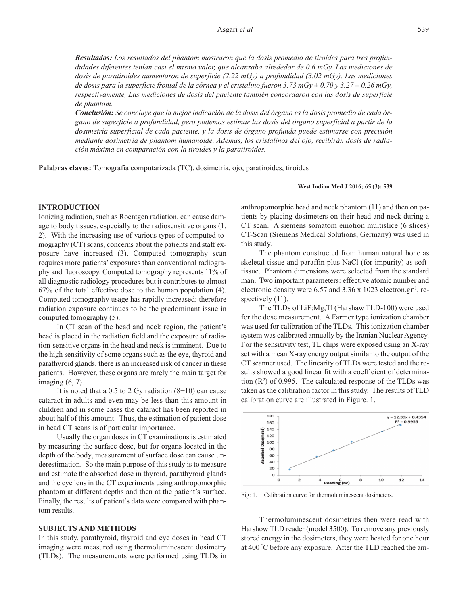*Resultados: Los resultados del phantom mostraron que la dosis promedio de tiroides para tres profundidades diferentes tenían casi el mismo valor, que alcanzaba alrededor de 0.6 mGy. Las mediciones de dosis de paratiroides aumentaron de superficie (2.22 mGy) a profundidad (3.02 mGy). Las mediciones* de dosis para la superficie frontal de la córnea y el cristalino fueron 3.73 mGy  $\pm$  0,70 y 3.27  $\pm$  0.26 mGy, *respectivamente, Las mediciones de dosis del paciente también concordaron con las dosis de superficie de phantom.*

**Conclusión:** Se concluve que la mejor indicación de la dosis del órgano es la dosis promedio de cada ór*gano de superficie a profundidad, pero podemos estimar las dosis del órgano superficial a partir de la dosimetría superficial de cada paciente, y la dosis de órgano profunda puede estimarse con precisión mediante dosimetría de phantom humanoide. Además, los cristalinos del ojo, recibirán dosis de radiación máxima en comparación con la tiroides y la paratiroides.*

**Palabras claves:** Tomografía computarizada (TC), dosimetría, ojo, paratiroides, tiroides

#### **West Indian Med J 2016; 65 (3): 539**

#### **INTRODUCTION**

Ionizing radiation, such as Roentgen radiation, can cause damage to body tissues, especially to the radiosensitive organs (1, 2). With the increasing use of various types of computed tomography (CT) scans, concerns about the patients and staff exposure have increased (3). Computed tomography scan requires more patients' exposures than conventional radiography and fluoroscopy. Computed tomography represents 11% of all diagnostic radiology procedures but it contributes to almost 67% of the total effective dose to the human population (4). Computed tomography usage has rapidly increased; therefore radiation exposure continues to be the predominant issue in computed tomography (5).

In CT scan of the head and neck region, the patient's head is placed in the radiation field and the exposure of radiation-sensitive organs in the head and neck is imminent. Due to the high sensitivity of some organs such as the eye, thyroid and parathyroid glands, there is an increased risk of cancer in these patients. However, these organs are rarely the main target for imaging (6, 7).

It is noted that a 0.5 to 2 Gy radiation (8−10) can cause cataract in adults and even may be less than this amount in children and in some cases the cataract has been reported in about half of this amount. Thus, the estimation of patient dose in head CT scans is of particular importance.

Usually the organ doses in CT examinations is estimated by measuring the surface dose, but for organs located in the depth of the body, measurement of surface dose can cause underestimation. So the main purpose of this study is to measure and estimate the absorbed dose in thyroid, parathyroid glands and the eye lens in the CT experiments using anthropomorphic phantom at different depths and then at the patient's surface. Finally, the results of patient's data were compared with phantom results.

### **SUBJECTS AND METHODS**

In this study, parathyroid, thyroid and eye doses in head CT imaging were measured using thermoluminescent dosimetry (TLDs). The measurements were performed using TLDs in

anthropomorphic head and neck phantom (11) and then on patients by placing dosimeters on their head and neck during a CT scan. A siemens somatom emotion multislice (6 slices) CT-Scan (Siemens Medical Solutions, Germany) was used in this study.

The phantom constructed from human natural bone as skeletal tissue and paraffin plus NaCl (for impurity) as softtissue. Phantom dimensions were selected from the standard man. Two important parameters: effective atomic number and electronic density were  $6.57$  and  $3.36 \times 1023$  electron.gr<sup>-1</sup>, respectively  $(11)$ .

The TLDs of LiF:Mg,Tl (Harshaw TLD-100) were used for the dose measurement. A Farmer type ionization chamber was used for calibration of the TLDs. This ionization chamber system was calibrated annually by the Iranian Nuclear Agency. For the sensitivity test, TL chips were exposed using an X-ray set with a mean X-ray energy output similar to the output of the CT scanner used. The linearity of TLDs were tested and the results showed a good linear fit with a coefficient of determination  $(R^2)$  of 0.995. The calculated response of the TLDs was taken as the calibration factor in this study. The results of TLD calibration curve are illustrated in Figure. 1.



Fig: 1. Calibration curve for thermoluminescent dosimeters.

Thermoluminescent dosimetries then were read with Harshow TLD reader (model 3500). To remove any previously stored energy in the dosimeters, they were heated for one hour at 400 ° C before any exposure. After the TLD reached the am-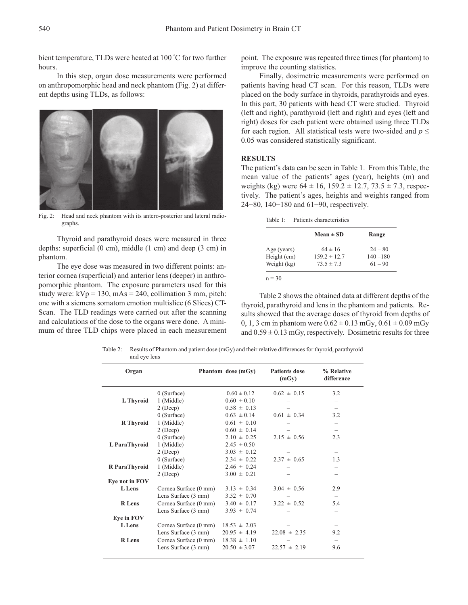bient temperature, TLDs were heated at 100 ° C for two further hours.

In this step, organ dose measurements were performed on anthropomorphic head and neck phantom (Fig. 2) at different depths using TLDs, as follows:



Fig. 2: Head and neck phantom with its antero-posterior and lateral radiographs.

Thyroid and parathyroid doses were measured in three depths: superficial (0 cm), middle (1 cm) and deep (3 cm) in phantom.

The eye dose was measured in two different points: anterior cornea (superficial) and anterior lens (deeper) in anthropomorphic phantom. The exposure parameters used for this study were:  $kVp = 130$ ,  $mAs = 240$ , collimation 3 mm, pitch: one with a siemens somatom emotion multislice (6 Slices) CT-Scan. The TLD readings were carried out after the scanning and calculations of the dose to the organs were done. A minimum of three TLD chips were placed in each measurement point. The exposure was repeated three times (for phantom) to improve the counting statistics.

Finally, dosimetric measurements were performed on patients having head CT scan. For this reason, TLDs were placed on the body surface in thyroids, parathyroids and eyes. In this part, 30 patients with head CT were studied. Thyroid (left and right), parathyroid (left and right) and eyes (left and right) doses for each patient were obtained using three TLDs for each region. All statistical tests were two-sided and  $p \leq$ 0.05 was considered statistically significant.

#### **RESULTS**

The patient's data can be seen in Table 1. From this Table, the mean value of the patients' ages (year), heights (m) and weights (kg) were  $64 \pm 16$ ,  $159.2 \pm 12.7$ ,  $73.5 \pm 7.3$ , respectively. The patient's ages, heights and weights ranged from 24−80, 140−180 and 61−90, respectively.

Table 1: Patients characteristics

|             | $Mean \pm SD$    | Range       |
|-------------|------------------|-------------|
| Age (years) | $64 \pm 16$      | $24 - 80$   |
| Height (cm) | $159.2 \pm 12.7$ | $140 - 180$ |
| Weight (kg) | $73.5 \pm 7.3$   | $61 - 90$   |

Table 2 shows the obtained data at different depths of the thyroid, parathyroid and lens in the phantom and patients. Results showed that the average doses of thyroid from depths of 0, 1, 3 cm in phantom were  $0.62 \pm 0.13$  mGy,  $0.61 \pm 0.09$  mGy and  $0.59 \pm 0.13$  mGy, respectively. Dosimetric results for three

Table 2: Results of Phantom and patient dose (mGy) and their relative differences for thyroid, parathyroid and eye lens

| Organ            |                               | Phantom dose (mGy) | <b>Patients dose</b><br>(mGy) | % Relative<br>difference |
|------------------|-------------------------------|--------------------|-------------------------------|--------------------------|
|                  | $0$ (Surface)                 | $0.60 \pm 0.12$    | $0.62 \pm 0.15$               | 3.2                      |
| L Thyroid        | 1 (Middle)                    | $0.60 \pm 0.10$    |                               |                          |
|                  | $2$ (Deep)                    | $0.58 \pm 0.13$    |                               | $\overline{\phantom{0}}$ |
|                  | $0$ (Surface)                 | $0.63 \pm 0.14$    | $0.61 \pm 0.34$               | 3.2                      |
| <b>R</b> Thyroid | 1 (Middle)                    | $0.61 \pm 0.10$    |                               | -                        |
|                  | $2$ (Deep)                    | $0.60 \pm 0.14$    |                               |                          |
|                  | $0$ (Surface)                 | $2.10 \pm 0.25$    | $2.15 \pm 0.56$               | 2.3                      |
| L ParaThyroid    | $1$ (Middle)                  | $2.45 \pm 0.50$    |                               | -                        |
|                  | $2$ (Deep)                    | $3.03 \pm 0.12$    |                               |                          |
|                  | $0$ (Surface)                 | $2.34 \pm 0.22$    | $2.37 \pm 0.65$               | 1.3                      |
| R ParaThyroid    | $1$ (Middle)                  | $2.46 \pm 0.24$    |                               |                          |
|                  | $2$ (Deep)                    | $3.00 \pm 0.21$    |                               | $\overline{\phantom{0}}$ |
| Eye not in FOV   |                               |                    |                               |                          |
| L Lens           | Cornea Surface (0 mm)         | $3.13 \pm 0.34$    | $3.04 \pm 0.56$               | 2.9                      |
|                  | Lens Surface $(3 \text{ mm})$ | $3.52 \pm 0.70$    |                               | $\overline{\phantom{0}}$ |
| <b>R</b> Lens    | Cornea Surface (0 mm)         | $3.40 \pm 0.17$    | $3.22 \pm 0.52$               | 5.4                      |
|                  | Lens Surface $(3 \text{ mm})$ | $3.93 \pm 0.74$    |                               | $\overline{\phantom{0}}$ |
| Eye in FOV       |                               |                    |                               |                          |
| L Lens           | Cornea Surface (0 mm)         | $18.53 \pm 2.03$   |                               |                          |
|                  | Lens Surface $(3 \text{ mm})$ | $20.95 \pm 4.19$   | $22.08 \pm 2.35$              | 9.2                      |
| <b>R</b> Lens    | Cornea Surface (0 mm)         | $18.38 \pm 1.10$   |                               |                          |
|                  | Lens Surface (3 mm)           | $20.50 \pm 3.07$   | $22.57 \pm 2.19$              | 9.6                      |
|                  |                               |                    |                               |                          |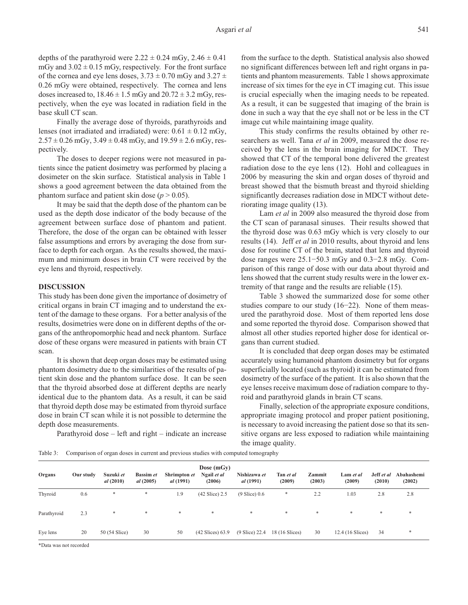depths of the parathyroid were  $2.22 \pm 0.24$  mGy,  $2.46 \pm 0.41$ mGy and  $3.02 \pm 0.15$  mGy, respectively. For the front surface of the cornea and eye lens doses,  $3.73 \pm 0.70$  mGy and  $3.27 \pm$ 0.26 mGy were obtained, respectively. The cornea and lens doses increased to,  $18.46 \pm 1.5$  mGy and  $20.72 \pm 3.2$  mGy, respectively, when the eye was located in radiation field in the base skull CT scan.

Finally the average dose of thyroids, parathyroids and lenses (not irradiated and irradiated) were:  $0.61 \pm 0.12$  mGy,  $2.57 \pm 0.26$  mGy,  $3.49 \pm 0.48$  mGy, and  $19.59 \pm 2.6$  mGy, respectively.

The doses to deeper regions were not measured in patients since the patient dosimetry was performed by placing a dosimeter on the skin surface. Statistical analysis in Table 1 shows a good agreement between the data obtained from the phantom surface and patient skin dose  $(p > 0.05)$ .

It may be said that the depth dose of the phantom can be used as the depth dose indicator of the body because of the agreement between surface dose of phantom and patient. Therefore, the dose of the organ can be obtained with lesser false assumptions and errors by averaging the dose from surface to depth for each organ. As the results showed, the maximum and minimum doses in brain CT were received by the eye lens and thyroid, respectively.

#### **DISCUSSION**

This study has been done given the importance of dosimetry of critical organs in brain CT imaging and to understand the extent of the damage to these organs. For a better analysis of the results, dosimetries were done on in different depths of the organs of the anthropomorphic head and neck phantom. Surface dose of these organs were measured in patients with brain CT scan.

It is shown that deep organ doses may be estimated using phantom dosimetry due to the similarities of the results of patient skin dose and the phantom surface dose. It can be seen that the thyroid absorbed dose at different depths are nearly identical due to the phantom data. As a result, it can be said that thyroid depth dose may be estimated from thyroid surface dose in brain CT scan while it is not possible to determine the depth dose measurements.

Parathyroid dose – left and right – indicate an increase

from the surface to the depth. Statistical analysis also showed no significant differences between left and right organs in patients and phantom measurements. Table 1 shows approximate increase of six times for the eye in CT imaging cut. This issue is crucial especially when the imaging needs to be repeated. As a result, it can be suggested that imaging of the brain is done in such a way that the eye shall not or be less in the CT image cut while maintaining image quality.

This study confirms the results obtained by other researchers as well. Tana *et al* in 2009, measured the dose received by the lens in the brain imaging for MDCT. They showed that CT of the temporal bone delivered the greatest radiation dose to the eye lens (12). Hohl and colleagues in 2006 by measuring the skin and organ doses of thyroid and breast showed that the bismuth breast and thyroid shielding significantly decreases radiation dose in MDCT without deteriorating image quality (13).

Lam *et al* in 2009 also measured the thyroid dose from the CT scan of paranasal sinuses. Their results showed that the thyroid dose was 0.63 mGy which is very closely to our results (14). Jeff *et al* in 2010 results, about thyroid and lens dose for routine CT of the brain, stated that lens and thyroid dose ranges were 25.1−50.3 mGy and 0.3−2.8 mGy. Comparison of this range of dose with our data about thyroid and lens showed that the current study results were in the lower extremity of that range and the results are reliable (15).

Table 3 showed the summarized dose for some other studies compare to our study (16−22). None of them measured the parathyroid dose. Most of them reported lens dose and some reported the thyroid dose. Comparison showed that almost all other studies reported higher dose for identical organs than current studied.

It is concluded that deep organ doses may be estimated accurately using humanoid phantom dosimetry but for organs superficially located (such as thyroid) it can be estimated from dosimetry of the surface of the patient. It is also shown that the eye lenses receive maximum dose of radiation compare to thyroid and parathyroid glands in brain CT scans.

Finally, selection of the appropriate exposure conditions, appropriate imaging protocol and proper patient positioning, is necessary to avoid increasing the patient dose so that its sensitive organs are less exposed to radiation while maintaining the image quality.

Table 3: Comparison of organ doses in current and previous studies with computed tomography

| Our study | Suzuki et<br>al(2010) | <b>Bassim et</b><br>al(2005) | <i>al</i> (1991) | Dose $(mGy)$<br>Ngail et al<br>(2006) | Nishizawa et<br><i>al</i> (1991) | Tan et al<br>(2009) | Zammit<br>(2003) | Lam et al<br>(2009) | Jeff et al<br>(2010) | Abahashemi<br>(2002) |
|-----------|-----------------------|------------------------------|------------------|---------------------------------------|----------------------------------|---------------------|------------------|---------------------|----------------------|----------------------|
| 0.6       | *                     | *                            | 1.9              | (42 Slice) 2.5                        | $(9 \text{ Slice})$ 0.6          | *                   | 2.2              | 1.03                | 2.8                  | 2.8                  |
| 2.3       | *                     | $\ast$                       | $\ast$           | $\ast$                                | $*$                              | *                   | $\ast$           | $*$                 | $\ast$               | *                    |
| 20        | 50 (54 Slice)         | 30                           | 50               | $(42 \text{ Slices})$ 63.9            | $(9 \text{ Slice})$ 22.4         | 18 (16 Slices)      | 30               | 12.4 (16 Slices)    | 34                   | *                    |
|           | . .                   |                              |                  |                                       | Shrimpton et                     |                     |                  |                     |                      |                      |

\*Data was not recorded